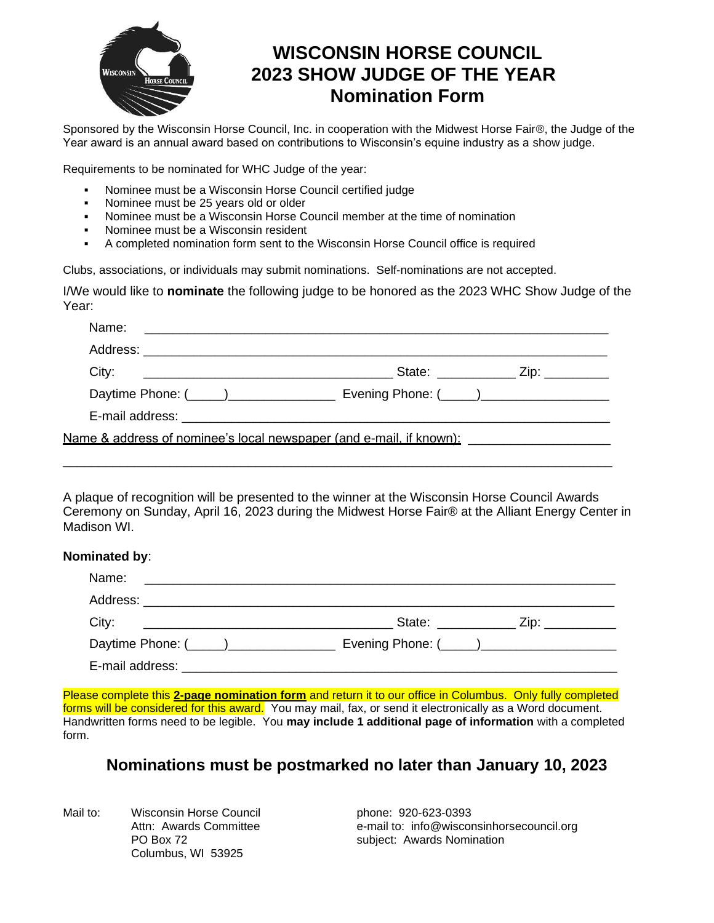

## **WISCONSIN HORSE COUNCIL 2023 SHOW JUDGE OF THE YEAR Nomination Form**

Sponsored by the Wisconsin Horse Council, Inc. in cooperation with the Midwest Horse Fair®, the Judge of the Year award is an annual award based on contributions to Wisconsin's equine industry as a show judge.

Requirements to be nominated for WHC Judge of the year:

- Nominee must be a Wisconsin Horse Council certified judge
- Nominee must be 25 years old or older
- Nominee must be a Wisconsin Horse Council member at the time of nomination
- Nominee must be a Wisconsin resident
- A completed nomination form sent to the Wisconsin Horse Council office is required

Clubs, associations, or individuals may submit nominations. Self-nominations are not accepted.

I/We would like to **nominate** the following judge to be honored as the 2023 WHC Show Judge of the Year:

| State: $\qquad \qquad \qquad \text{Zip:}$                                                                      |
|----------------------------------------------------------------------------------------------------------------|
|                                                                                                                |
|                                                                                                                |
| Name & address of nominee's local newspaper (and e-mail, if known): where the monotomorphic monotomorphic mono |

A plaque of recognition will be presented to the winner at the Wisconsin Horse Council Awards Ceremony on Sunday, April 16, 2023 during the Midwest Horse Fair® at the Alliant Energy Center in Madison WI.

\_\_\_\_\_\_\_\_\_\_\_\_\_\_\_\_\_\_\_\_\_\_\_\_\_\_\_\_\_\_\_\_\_\_\_\_\_\_\_\_\_\_\_\_\_\_\_\_\_\_\_\_\_\_\_\_\_\_\_\_\_\_\_\_\_\_\_\_\_\_\_\_\_\_\_\_\_

#### **Nominated by**:

| Name:                             |                                                                                                                |                |
|-----------------------------------|----------------------------------------------------------------------------------------------------------------|----------------|
| Address: ________________________ |                                                                                                                |                |
| City:                             | State: with the state of the state of the state of the state of the state of the state of the state of the sta | Zip: _________ |
|                                   |                                                                                                                |                |
|                                   |                                                                                                                |                |

Please complete this **2-page nomination form** and return it to our office in Columbus. Only fully completed forms will be considered for this award. You may mail, fax, or send it electronically as a Word document. Handwritten forms need to be legible. You **may include 1 additional page of information** with a completed form.

## **Nominations must be postmarked no later than January 10, 2023**

Mail to: Wisconsin Horse Council *mexical phone:* 920-623-0393<br>Attn: Awards Committee **All and Souncil to the e-mail to:** info@wiscor Columbus, WI 53925

e-mail to: info@wisconsinhorsecouncil.org PO Box 72 subject: Awards Nomination